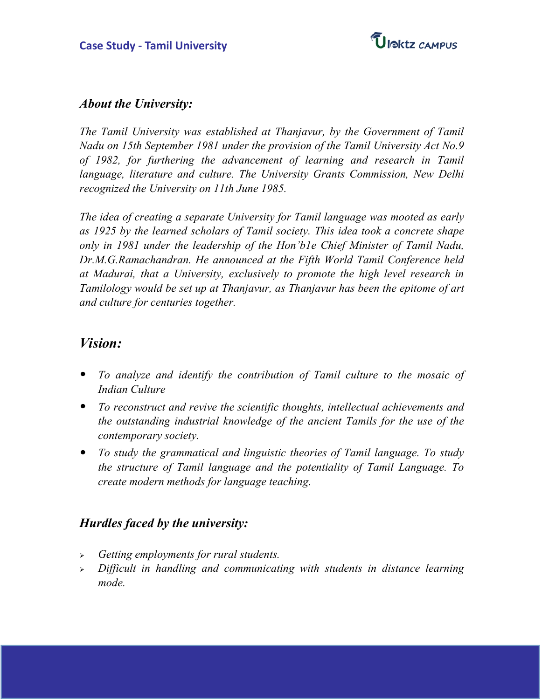

### **About the University:**

The Tamil University was established at Thanjavur, by the Government of Tamil Nadu on 15th September 1981 under the provision of the Tamil University Act No.9 of 1982, for furthering the advancement of learning and research in Tamil language, literature and culture. The University Grants Commission, New Delhi recognized the University on 11th June 1985.

The idea of creating a separate University for Tamil language was mooted as early as 1925 by the learned scholars of Tamil society. This idea took a concrete shape only in 1981 under the leadership of the Hon'b1e Chief Minister of Tamil Nadu, Dr.M.G.Ramachandran. He announced at the Fifth World Tamil Conference held at Madurai, that a University, exclusively to promote the high level research in Tamilology would be set up at Thanjavur, as Thanjavur has been the epitome of art and culture for centuries together.

# **Vision:**

- To analyze and identify the contribution of Tamil culture to the mosaic of Indian Culture
- To reconstruct and revive the scientific thoughts, intellectual achievements and the outstanding industrial knowledge of the ancient Tamils for the use of the contemporary society.
- To study the grammatical and linguistic theories of Tamil language. To study the structure of Tamil language and the potentiality of Tamil Language. To create modern methods for language teaching.

## **Hurdles faced by the university:**

- $\triangleright$  Getting employments for rural students.
- Difficult in handling and communicating with students in distance learning mode.